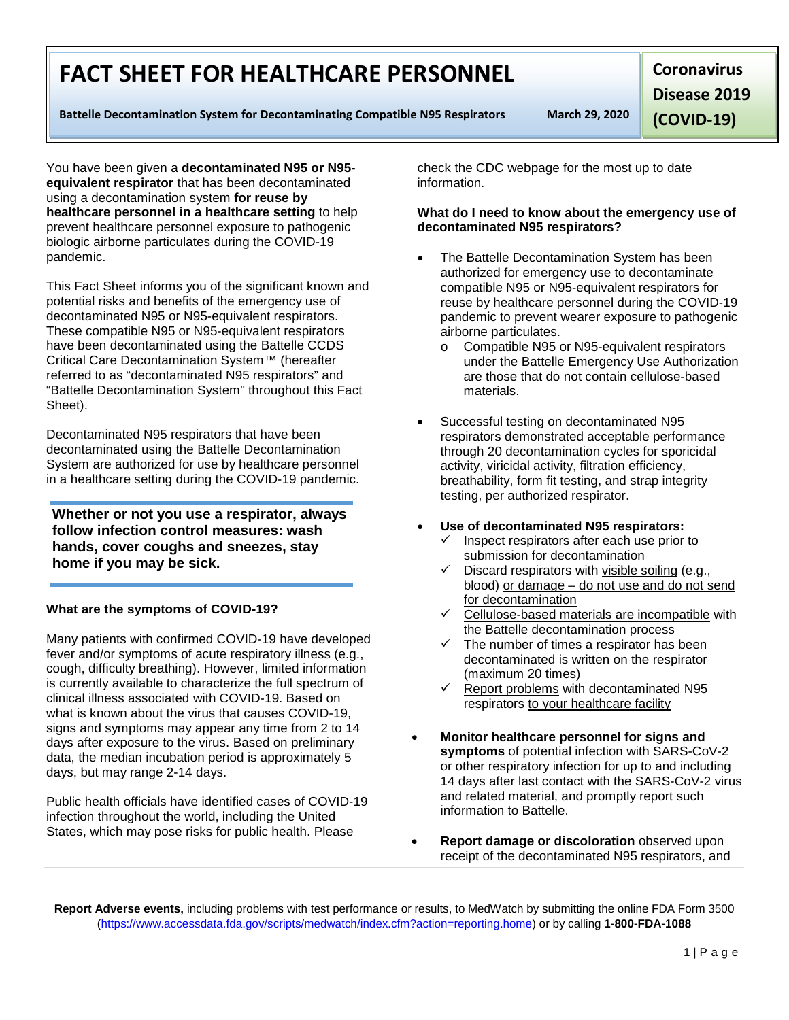**Battelle Decontamination System for Decontaminating Compatible N95 Respirators March 29, 2020**

**FACT SHEET FOR HEALTHCARE PERSONNEL**

You have been given a **decontaminated N95 or N95 equivalent respirator** that has been decontaminated

using a decontamination system **for reuse by healthcare personnel in a healthcare setting** to help prevent healthcare personnel exposure to pathogenic biologic airborne particulates during the COVID-19 pandemic.

This Fact Sheet informs you of the significant known and potential risks and benefits of the emergency use of decontaminated N95 or N95-equivalent respirators. These compatible N95 or N95-equivalent respirators have been decontaminated using the Battelle CCDS Critical Care Decontamination System™ (hereafter referred to as "decontaminated N95 respirators" and "Battelle Decontamination System" throughout this Fact Sheet).

Decontaminated N95 respirators that have been decontaminated using the Battelle Decontamination System are authorized for use by healthcare personnel in a healthcare setting during the COVID-19 pandemic.

**Whether or not you use a respirator, always follow infection control measures: wash hands, cover coughs and sneezes, stay home if you may be sick.**

## **What are the symptoms of COVID-19?**

Many patients with confirmed COVID-19 have developed fever and/or symptoms of acute respiratory illness (e.g., cough, difficulty breathing). However, limited information is currently available to characterize the full spectrum of clinical illness associated with COVID-19. Based on what is known about the virus that causes COVID-19, signs and symptoms may appear any time from 2 to 14 days after exposure to the virus. Based on preliminary data, the median incubation period is approximately 5 days, but may range 2-14 days.

Public health officials have identified cases of COVID-19 infection throughout the world, including the United States, which may pose risks for public health. Please

check the CDC webpage for the most up to date information.

#### **What do I need to know about the emergency use of decontaminated N95 respirators?**

- The Battelle Decontamination System has been authorized for emergency use to decontaminate compatible N95 or N95-equivalent respirators for reuse by healthcare personnel during the COVID-19 pandemic to prevent wearer exposure to pathogenic airborne particulates.
	- o Compatible N95 or N95-equivalent respirators under the Battelle Emergency Use Authorization are those that do not contain cellulose-based materials.
- Successful testing on decontaminated N95 respirators demonstrated acceptable performance through 20 decontamination cycles for sporicidal activity, viricidal activity, filtration efficiency, breathability, form fit testing, and strap integrity testing, per authorized respirator.
- **Use of decontaminated N95 respirators:**
	- Inspect respirators after each use prior to submission for decontamination
	- $\checkmark$  Discard respirators with visible soiling (e.g., blood) or damage – do not use and do not send for decontamination
	- Cellulose-based materials are incompatible with the Battelle decontamination process
	- The number of times a respirator has been decontaminated is written on the respirator (maximum 20 times)
	- $\checkmark$  Report problems with decontaminated N95 respirators to your healthcare facility
- **Monitor healthcare personnel for signs and symptoms** of potential infection with SARS-CoV-2 or other respiratory infection for up to and including 14 days after last contact with the SARS-CoV-2 virus and related material, and promptly report such information to Battelle.
- **Report damage or discoloration** observed upon receipt of the decontaminated N95 respirators, and

**Report Adverse events,** including problems with test performance or results, to MedWatch by submitting the online FDA Form 3500 [\(https://www.accessdata.fda.gov/scripts/medwatch/index.cfm?action=reporting.home\)](https://www.accessdata.fda.gov/scripts/medwatch/index.cfm?action=reporting.home) or by calling **1-800-FDA-1088**

**Coronavirus Disease 2019 (COVID-19)**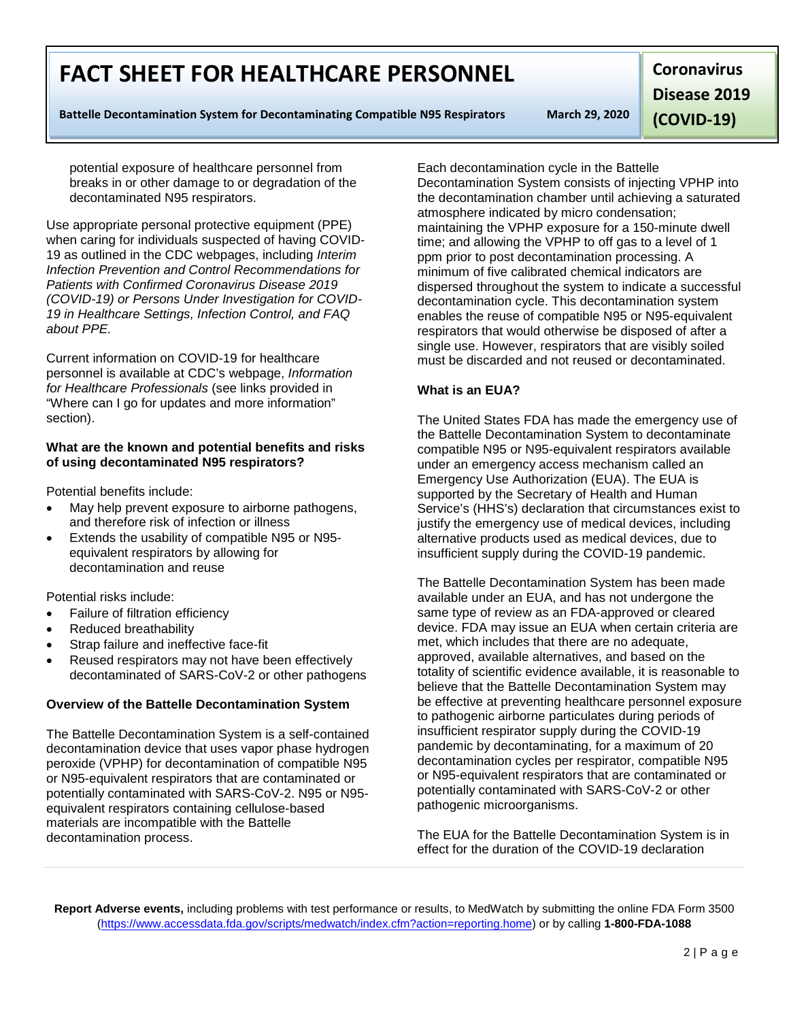**FACT SHEET FOR HEALTHCARE PERSONNEL**

**Battelle Decontamination System for Decontaminating Compatible N95 Respirators March 29, 2020**

**Coronavirus Disease 2019 (COVID-19)**

potential exposure of healthcare personnel from breaks in or other damage to or degradation of the decontaminated N95 respirators.

Use appropriate personal protective equipment (PPE) when caring for individuals suspected of having COVID-19 as outlined in the CDC webpages, including *Interim Infection Prevention and Control Recommendations for Patients with Confirmed Coronavirus Disease 2019 (COVID-19) or Persons Under Investigation for COVID-19 in Healthcare Settings, Infection Control, and FAQ about PPE.*

Current information on COVID-19 for healthcare personnel is available at CDC's webpage, *Information for Healthcare Professionals* (see links provided in "Where can I go for updates and more information" section).

#### **What are the known and potential benefits and risks of using decontaminated N95 respirators?**

Potential benefits include:

- May help prevent exposure to airborne pathogens, and therefore risk of infection or illness
- Extends the usability of compatible N95 or N95 equivalent respirators by allowing for decontamination and reuse

Potential risks include:

- Failure of filtration efficiency
- Reduced breathability
- Strap failure and ineffective face-fit
- Reused respirators may not have been effectively decontaminated of SARS-CoV-2 or other pathogens

## **Overview of the Battelle Decontamination System**

The Battelle Decontamination System is a self-contained decontamination device that uses vapor phase hydrogen peroxide (VPHP) for decontamination of compatible N95 or N95-equivalent respirators that are contaminated or potentially contaminated with SARS-CoV-2. N95 or N95 equivalent respirators containing cellulose-based materials are incompatible with the Battelle decontamination process.

Each decontamination cycle in the Battelle Decontamination System consists of injecting VPHP into the decontamination chamber until achieving a saturated atmosphere indicated by micro condensation; maintaining the VPHP exposure for a 150-minute dwell time; and allowing the VPHP to off gas to a level of 1 ppm prior to post decontamination processing. A minimum of five calibrated chemical indicators are dispersed throughout the system to indicate a successful decontamination cycle. This decontamination system enables the reuse of compatible N95 or N95-equivalent respirators that would otherwise be disposed of after a single use. However, respirators that are visibly soiled must be discarded and not reused or decontaminated.

## **What is an EUA?**

The United States FDA has made the emergency use of the Battelle Decontamination System to decontaminate compatible N95 or N95-equivalent respirators available under an emergency access mechanism called an Emergency Use Authorization (EUA). The EUA is supported by the Secretary of Health and Human Service's (HHS's) declaration that circumstances exist to justify the emergency use of medical devices, including alternative products used as medical devices, due to insufficient supply during the COVID-19 pandemic.

The Battelle Decontamination System has been made available under an EUA, and has not undergone the same type of review as an FDA-approved or cleared device. FDA may issue an EUA when certain criteria are met, which includes that there are no adequate, approved, available alternatives, and based on the totality of scientific evidence available, it is reasonable to believe that the Battelle Decontamination System may be effective at preventing healthcare personnel exposure to pathogenic airborne particulates during periods of insufficient respirator supply during the COVID-19 pandemic by decontaminating, for a maximum of 20 decontamination cycles per respirator, compatible N95 or N95-equivalent respirators that are contaminated or potentially contaminated with SARS-CoV-2 or other pathogenic microorganisms.

The EUA for the Battelle Decontamination System is in effect for the duration of the COVID-19 declaration

**Report Adverse events,** including problems with test performance or results, to MedWatch by submitting the online FDA Form 3500 [\(https://www.accessdata.fda.gov/scripts/medwatch/index.cfm?action=reporting.home\)](https://www.accessdata.fda.gov/scripts/medwatch/index.cfm?action=reporting.home) or by calling **1-800-FDA-1088**